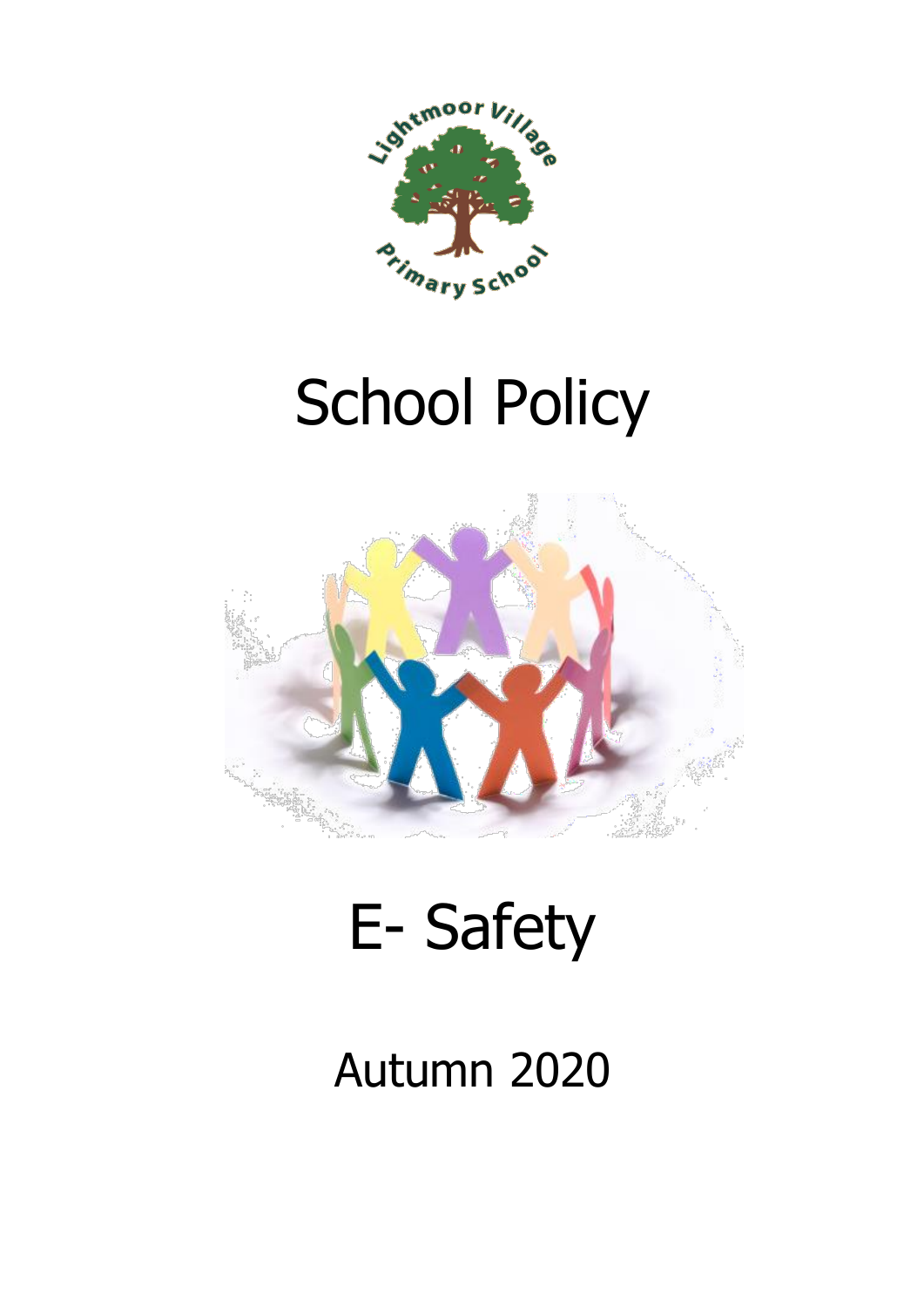

# School Policy



# E- Safety

# Autumn 2020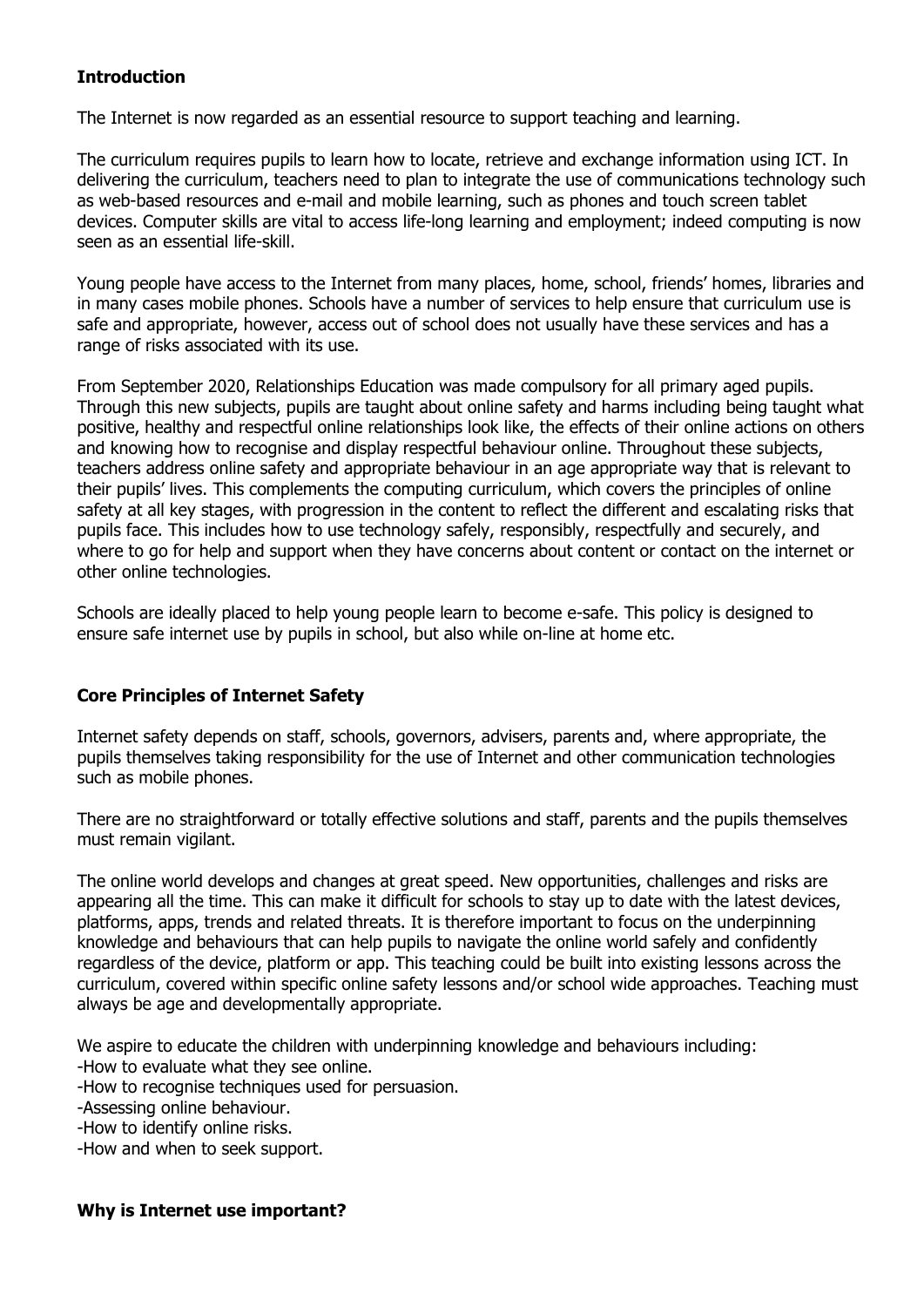# **Introduction**

The Internet is now regarded as an essential resource to support teaching and learning.

The curriculum requires pupils to learn how to locate, retrieve and exchange information using ICT. In delivering the curriculum, teachers need to plan to integrate the use of communications technology such as web-based resources and e-mail and mobile learning, such as phones and touch screen tablet devices. Computer skills are vital to access life-long learning and employment; indeed computing is now seen as an essential life-skill.

Young people have access to the Internet from many places, home, school, friends' homes, libraries and in many cases mobile phones. Schools have a number of services to help ensure that curriculum use is safe and appropriate, however, access out of school does not usually have these services and has a range of risks associated with its use.

From September 2020, Relationships Education was made compulsory for all primary aged pupils. Through this new subjects, pupils are taught about online safety and harms including being taught what positive, healthy and respectful online relationships look like, the effects of their online actions on others and knowing how to recognise and display respectful behaviour online. Throughout these subjects, teachers address online safety and appropriate behaviour in an age appropriate way that is relevant to their pupils' lives. This complements the computing curriculum, which covers the principles of online safety at all key stages, with progression in the content to reflect the different and escalating risks that pupils face. This includes how to use technology safely, responsibly, respectfully and securely, and where to go for help and support when they have concerns about content or contact on the internet or other online technologies.

Schools are ideally placed to help young people learn to become e-safe. This policy is designed to ensure safe internet use by pupils in school, but also while on-line at home etc.

# **Core Principles of Internet Safety**

Internet safety depends on staff, schools, governors, advisers, parents and, where appropriate, the pupils themselves taking responsibility for the use of Internet and other communication technologies such as mobile phones.

There are no straightforward or totally effective solutions and staff, parents and the pupils themselves must remain vigilant.

The online world develops and changes at great speed. New opportunities, challenges and risks are appearing all the time. This can make it difficult for schools to stay up to date with the latest devices, platforms, apps, trends and related threats. It is therefore important to focus on the underpinning knowledge and behaviours that can help pupils to navigate the online world safely and confidently regardless of the device, platform or app. This teaching could be built into existing lessons across the curriculum, covered within specific online safety lessons and/or school wide approaches. Teaching must always be age and developmentally appropriate.

We aspire to educate the children with underpinning knowledge and behaviours including:

-How to evaluate what they see online.

-How to recognise techniques used for persuasion.

-Assessing online behaviour.

-How to identify online risks.

-How and when to seek support.

# **Why is Internet use important?**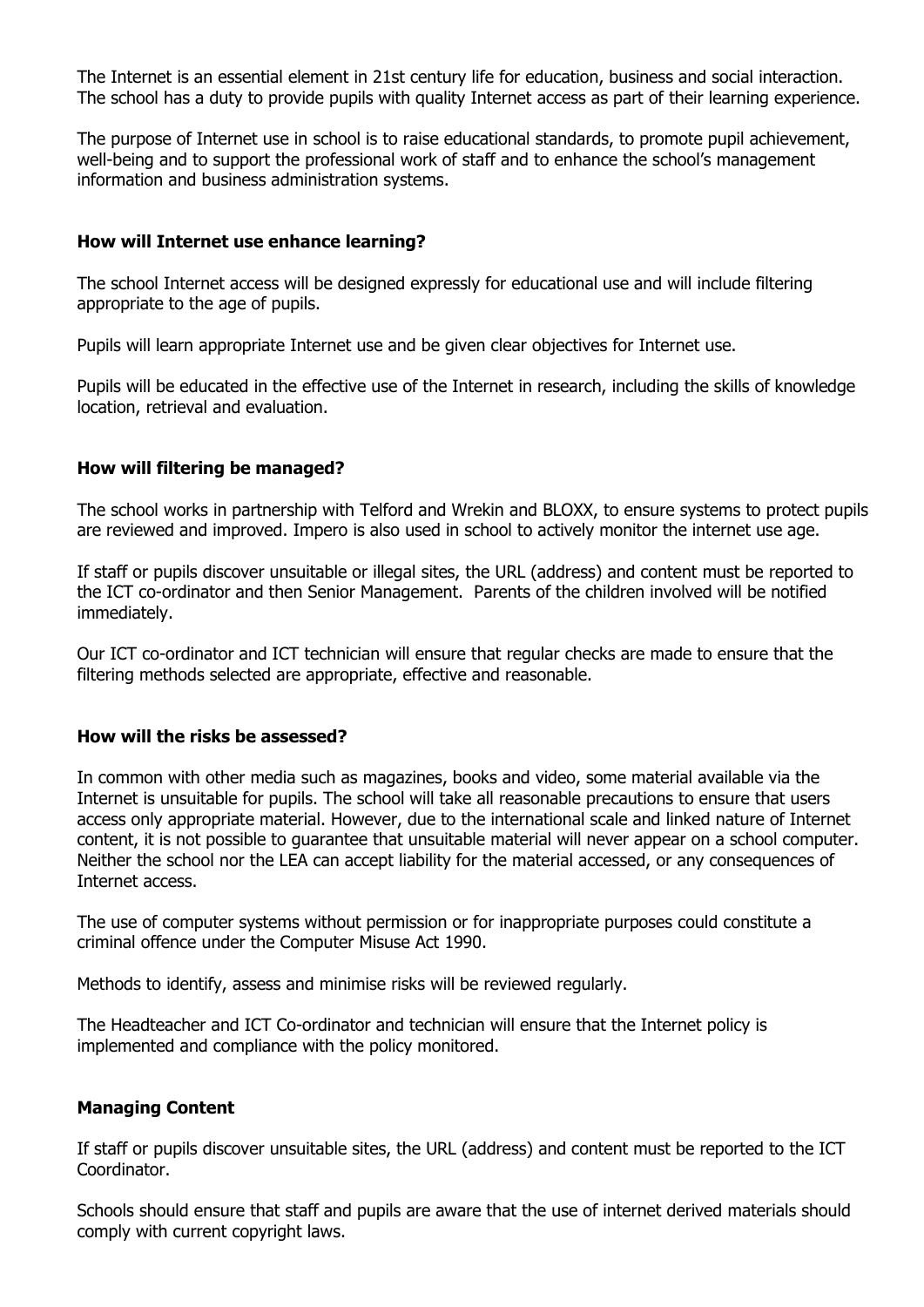The Internet is an essential element in 21st century life for education, business and social interaction. The school has a duty to provide pupils with quality Internet access as part of their learning experience.

The purpose of Internet use in school is to raise educational standards, to promote pupil achievement, well-being and to support the professional work of staff and to enhance the school's management information and business administration systems.

#### **How will Internet use enhance learning?**

The school Internet access will be designed expressly for educational use and will include filtering appropriate to the age of pupils.

Pupils will learn appropriate Internet use and be given clear objectives for Internet use.

Pupils will be educated in the effective use of the Internet in research, including the skills of knowledge location, retrieval and evaluation.

## **How will filtering be managed?**

The school works in partnership with Telford and Wrekin and BLOXX, to ensure systems to protect pupils are reviewed and improved. Impero is also used in school to actively monitor the internet use age.

If staff or pupils discover unsuitable or illegal sites, the URL (address) and content must be reported to the ICT co-ordinator and then Senior Management. Parents of the children involved will be notified immediately.

Our ICT co-ordinator and ICT technician will ensure that regular checks are made to ensure that the filtering methods selected are appropriate, effective and reasonable.

#### **How will the risks be assessed?**

In common with other media such as magazines, books and video, some material available via the Internet is unsuitable for pupils. The school will take all reasonable precautions to ensure that users access only appropriate material. However, due to the international scale and linked nature of Internet content, it is not possible to guarantee that unsuitable material will never appear on a school computer. Neither the school nor the LEA can accept liability for the material accessed, or any consequences of Internet access.

The use of computer systems without permission or for inappropriate purposes could constitute a criminal offence under the Computer Misuse Act 1990.

Methods to identify, assess and minimise risks will be reviewed regularly.

The Headteacher and ICT Co-ordinator and technician will ensure that the Internet policy is implemented and compliance with the policy monitored.

#### **Managing Content**

If staff or pupils discover unsuitable sites, the URL (address) and content must be reported to the ICT Coordinator.

Schools should ensure that staff and pupils are aware that the use of internet derived materials should comply with current copyright laws.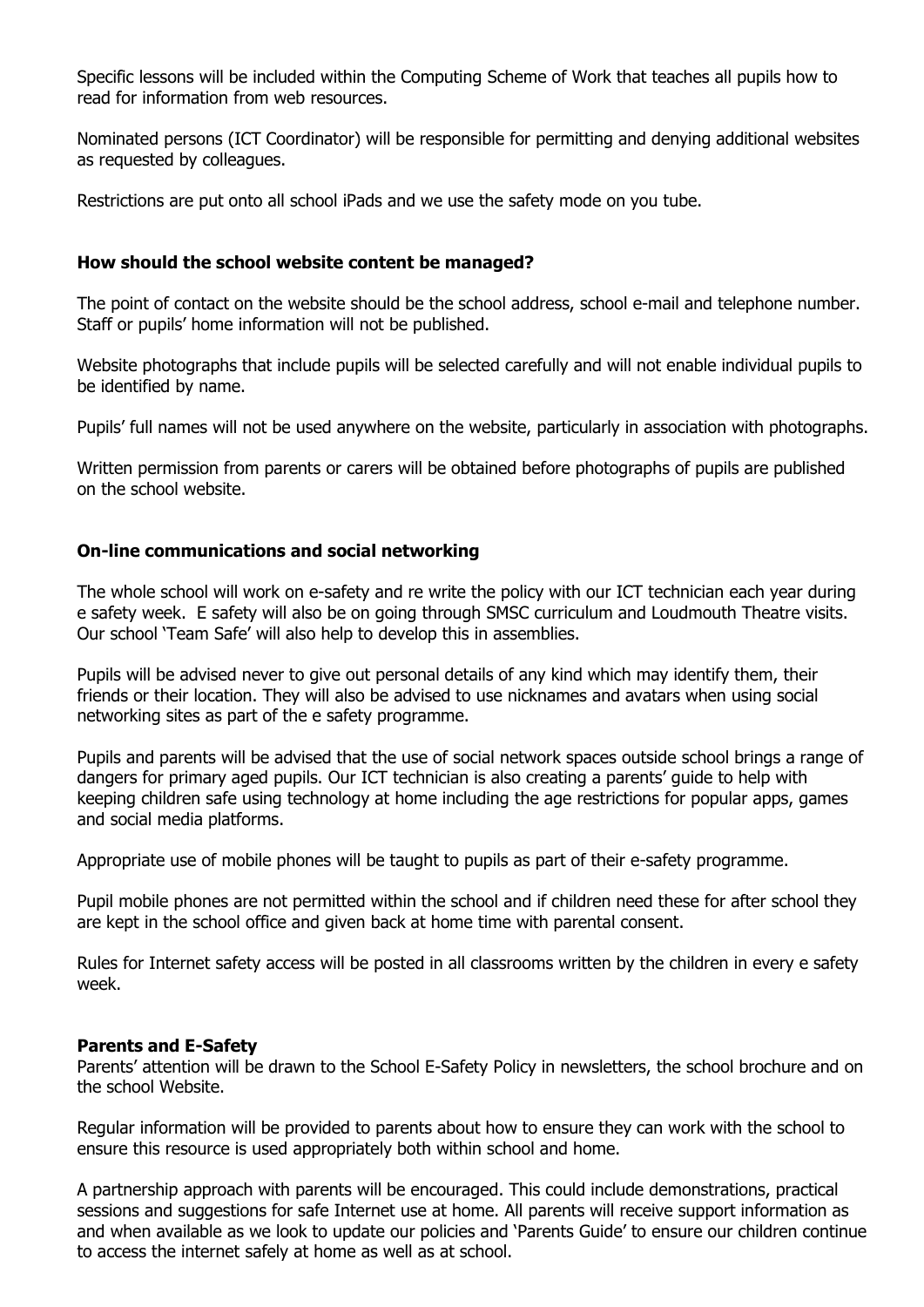Specific lessons will be included within the Computing Scheme of Work that teaches all pupils how to read for information from web resources.

Nominated persons (ICT Coordinator) will be responsible for permitting and denying additional websites as requested by colleagues.

Restrictions are put onto all school iPads and we use the safety mode on you tube.

## **How should the school website content be managed?**

The point of contact on the website should be the school address, school e-mail and telephone number. Staff or pupils' home information will not be published.

Website photographs that include pupils will be selected carefully and will not enable individual pupils to be identified by name.

Pupils' full names will not be used anywhere on the website, particularly in association with photographs.

Written permission from parents or carers will be obtained before photographs of pupils are published on the school website.

## **On-line communications and social networking**

The whole school will work on e-safety and re write the policy with our ICT technician each year during e safety week. E safety will also be on going through SMSC curriculum and Loudmouth Theatre visits. Our school 'Team Safe' will also help to develop this in assemblies.

Pupils will be advised never to give out personal details of any kind which may identify them, their friends or their location. They will also be advised to use nicknames and avatars when using social networking sites as part of the e safety programme.

Pupils and parents will be advised that the use of social network spaces outside school brings a range of dangers for primary aged pupils. Our ICT technician is also creating a parents' guide to help with keeping children safe using technology at home including the age restrictions for popular apps, games and social media platforms.

Appropriate use of mobile phones will be taught to pupils as part of their e-safety programme.

Pupil mobile phones are not permitted within the school and if children need these for after school they are kept in the school office and given back at home time with parental consent.

Rules for Internet safety access will be posted in all classrooms written by the children in every e safety week.

#### **Parents and E-Safety**

Parents' attention will be drawn to the School E-Safety Policy in newsletters, the school brochure and on the school Website.

Regular information will be provided to parents about how to ensure they can work with the school to ensure this resource is used appropriately both within school and home.

A partnership approach with parents will be encouraged. This could include demonstrations, practical sessions and suggestions for safe Internet use at home. All parents will receive support information as and when available as we look to update our policies and 'Parents Guide' to ensure our children continue to access the internet safely at home as well as at school.